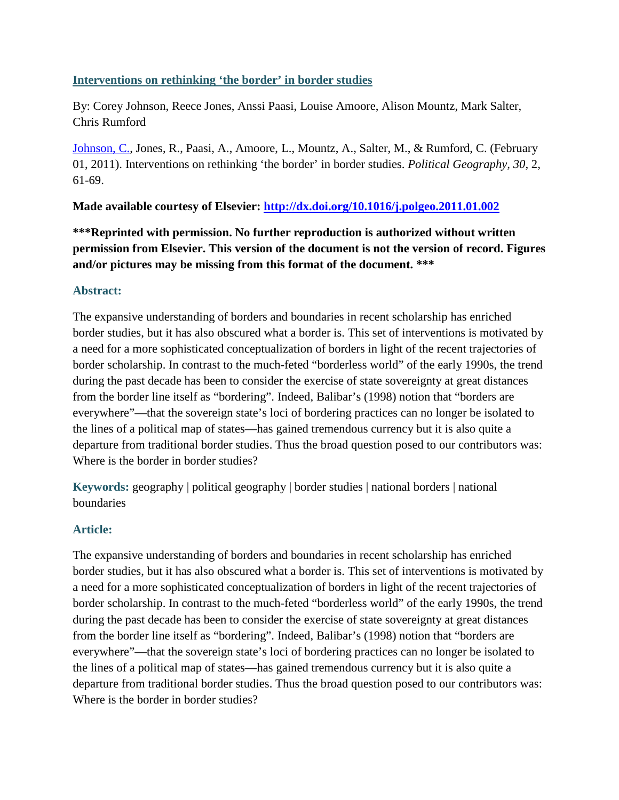# **Interventions on rethinking 'the border' in border studies**

By: Corey Johnson, Reece Jones, Anssi Paasi, Louise Amoore, Alison Mountz, Mark Salter, Chris Rumford

[Johnson, C.,](http://libres.uncg.edu/ir/uncg/clist.aspx?id=7747) Jones, R., Paasi, A., Amoore, L., Mountz, A., Salter, M., & Rumford, C. (February 01, 2011). Interventions on rethinking 'the border' in border studies. *Political Geography, 30,* 2, 61-69.

## **Made available courtesy of Elsevier:<http://dx.doi.org/10.1016/j.polgeo.2011.01.002>**

**\*\*\*Reprinted with permission. No further reproduction is authorized without written permission from Elsevier. This version of the document is not the version of record. Figures and/or pictures may be missing from this format of the document. \*\*\***

## **Abstract:**

The expansive understanding of borders and boundaries in recent scholarship has enriched border studies, but it has also obscured what a border is. This set of interventions is motivated by a need for a more sophisticated conceptualization of borders in light of the recent trajectories of border scholarship. In contrast to the much-feted "borderless world" of the early 1990s, the trend during the past decade has been to consider the exercise of state sovereignty at great distances from the border line itself as "bordering". Indeed, Balibar's (1998) notion that "borders are everywhere"—that the sovereign state's loci of bordering practices can no longer be isolated to the lines of a political map of states—has gained tremendous currency but it is also quite a departure from traditional border studies. Thus the broad question posed to our contributors was: Where is the border in border studies?

**Keywords:** geography | political geography | border studies | national borders | national boundaries

# **Article:**

The expansive understanding of borders and boundaries in recent scholarship has enriched border studies, but it has also obscured what a border is. This set of interventions is motivated by a need for a more sophisticated conceptualization of borders in light of the recent trajectories of border scholarship. In contrast to the much-feted "borderless world" of the early 1990s, the trend during the past decade has been to consider the exercise of state sovereignty at great distances from the border line itself as "bordering". Indeed, Balibar's (1998) notion that "borders are everywhere"—that the sovereign state's loci of bordering practices can no longer be isolated to the lines of a political map of states—has gained tremendous currency but it is also quite a departure from traditional border studies. Thus the broad question posed to our contributors was: Where is the border in border studies?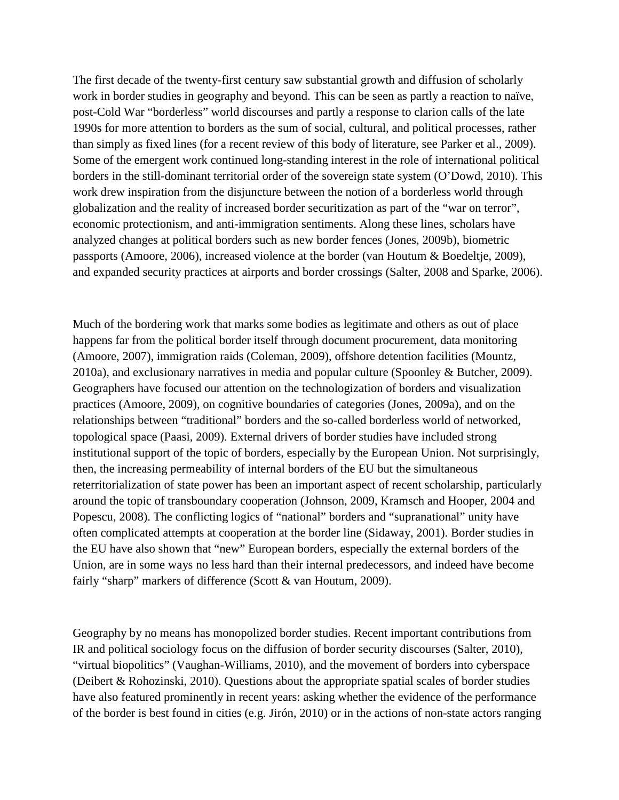The first decade of the twenty-first century saw substantial growth and diffusion of scholarly work in border studies in geography and beyond. This can be seen as partly a reaction to naïve, post-Cold War "borderless" world discourses and partly a response to clarion calls of the late 1990s for more attention to borders as the sum of social, cultural, and political processes, rather than simply as fixed lines (for a recent review of this body of literature, see Parker et al., 2009). Some of the emergent work continued long-standing interest in the role of international political borders in the still-dominant territorial order of the sovereign state system (O'Dowd, 2010). This work drew inspiration from the disjuncture between the notion of a borderless world through globalization and the reality of increased border securitization as part of the "war on terror", economic protectionism, and anti-immigration sentiments. Along these lines, scholars have analyzed changes at political borders such as new border fences (Jones, 2009b), biometric passports (Amoore, 2006), increased violence at the border (van Houtum & Boedeltje, 2009), and expanded security practices at airports and border crossings (Salter, 2008 and Sparke, 2006).

Much of the bordering work that marks some bodies as legitimate and others as out of place happens far from the political border itself through document procurement, data monitoring (Amoore, 2007), immigration raids (Coleman, 2009), offshore detention facilities (Mountz, 2010a), and exclusionary narratives in media and popular culture (Spoonley & Butcher, 2009). Geographers have focused our attention on the technologization of borders and visualization practices (Amoore, 2009), on cognitive boundaries of categories (Jones, 2009a), and on the relationships between "traditional" borders and the so-called borderless world of networked, topological space (Paasi, 2009). External drivers of border studies have included strong institutional support of the topic of borders, especially by the European Union. Not surprisingly, then, the increasing permeability of internal borders of the EU but the simultaneous reterritorialization of state power has been an important aspect of recent scholarship, particularly around the topic of transboundary cooperation (Johnson, 2009, Kramsch and Hooper, 2004 and Popescu, 2008). The conflicting logics of "national" borders and "supranational" unity have often complicated attempts at cooperation at the border line (Sidaway, 2001). Border studies in the EU have also shown that "new" European borders, especially the external borders of the Union, are in some ways no less hard than their internal predecessors, and indeed have become fairly "sharp" markers of difference (Scott & van Houtum, 2009).

Geography by no means has monopolized border studies. Recent important contributions from IR and political sociology focus on the diffusion of border security discourses (Salter, 2010), "virtual biopolitics" (Vaughan-Williams, 2010), and the movement of borders into cyberspace (Deibert & Rohozinski, 2010). Questions about the appropriate spatial scales of border studies have also featured prominently in recent years: asking whether the evidence of the performance of the border is best found in cities (e.g. Jirón, 2010) or in the actions of non-state actors ranging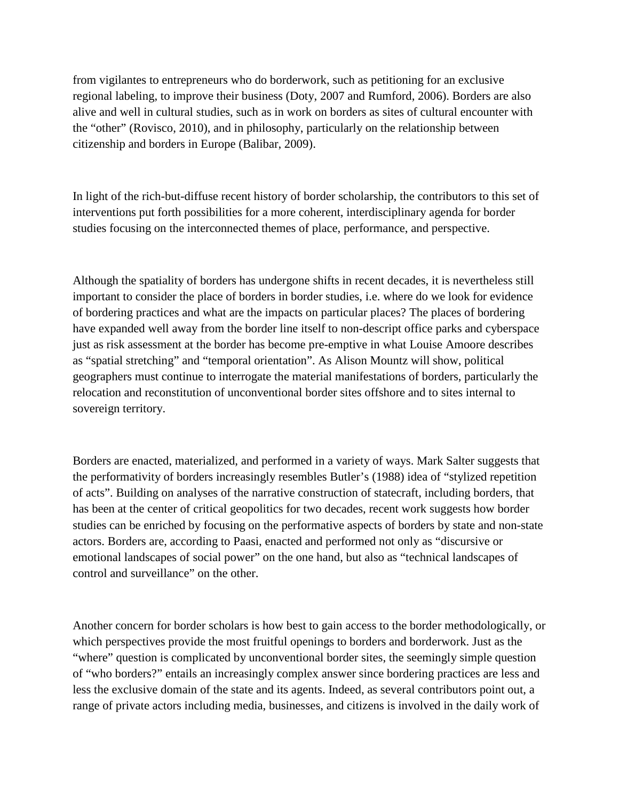from vigilantes to entrepreneurs who do borderwork, such as petitioning for an exclusive regional labeling, to improve their business (Doty, 2007 and Rumford, 2006). Borders are also alive and well in cultural studies, such as in work on borders as sites of cultural encounter with the "other" (Rovisco, 2010), and in philosophy, particularly on the relationship between citizenship and borders in Europe (Balibar, 2009).

In light of the rich-but-diffuse recent history of border scholarship, the contributors to this set of interventions put forth possibilities for a more coherent, interdisciplinary agenda for border studies focusing on the interconnected themes of place, performance, and perspective.

Although the spatiality of borders has undergone shifts in recent decades, it is nevertheless still important to consider the place of borders in border studies, i.e. where do we look for evidence of bordering practices and what are the impacts on particular places? The places of bordering have expanded well away from the border line itself to non-descript office parks and cyberspace just as risk assessment at the border has become pre-emptive in what Louise Amoore describes as "spatial stretching" and "temporal orientation". As Alison Mountz will show, political geographers must continue to interrogate the material manifestations of borders, particularly the relocation and reconstitution of unconventional border sites offshore and to sites internal to sovereign territory.

Borders are enacted, materialized, and performed in a variety of ways. Mark Salter suggests that the performativity of borders increasingly resembles Butler's (1988) idea of "stylized repetition of acts". Building on analyses of the narrative construction of statecraft, including borders, that has been at the center of critical geopolitics for two decades, recent work suggests how border studies can be enriched by focusing on the performative aspects of borders by state and non-state actors. Borders are, according to Paasi, enacted and performed not only as "discursive or emotional landscapes of social power" on the one hand, but also as "technical landscapes of control and surveillance" on the other.

Another concern for border scholars is how best to gain access to the border methodologically, or which perspectives provide the most fruitful openings to borders and borderwork. Just as the "where" question is complicated by unconventional border sites, the seemingly simple question of "who borders?" entails an increasingly complex answer since bordering practices are less and less the exclusive domain of the state and its agents. Indeed, as several contributors point out, a range of private actors including media, businesses, and citizens is involved in the daily work of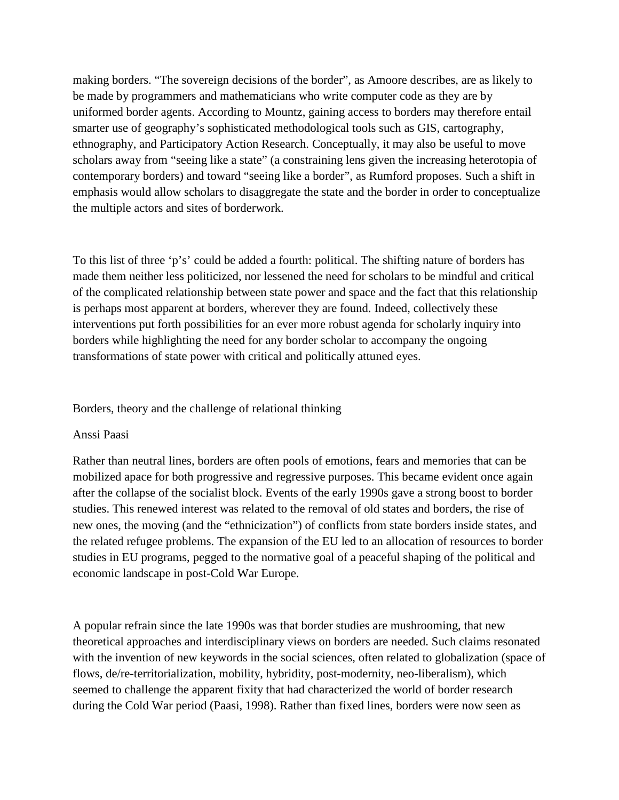making borders. "The sovereign decisions of the border", as Amoore describes, are as likely to be made by programmers and mathematicians who write computer code as they are by uniformed border agents. According to Mountz, gaining access to borders may therefore entail smarter use of geography's sophisticated methodological tools such as GIS, cartography, ethnography, and Participatory Action Research. Conceptually, it may also be useful to move scholars away from "seeing like a state" (a constraining lens given the increasing heterotopia of contemporary borders) and toward "seeing like a border", as Rumford proposes. Such a shift in emphasis would allow scholars to disaggregate the state and the border in order to conceptualize the multiple actors and sites of borderwork.

To this list of three 'p's' could be added a fourth: political. The shifting nature of borders has made them neither less politicized, nor lessened the need for scholars to be mindful and critical of the complicated relationship between state power and space and the fact that this relationship is perhaps most apparent at borders, wherever they are found. Indeed, collectively these interventions put forth possibilities for an ever more robust agenda for scholarly inquiry into borders while highlighting the need for any border scholar to accompany the ongoing transformations of state power with critical and politically attuned eyes.

Borders, theory and the challenge of relational thinking

#### Anssi Paasi

Rather than neutral lines, borders are often pools of emotions, fears and memories that can be mobilized apace for both progressive and regressive purposes. This became evident once again after the collapse of the socialist block. Events of the early 1990s gave a strong boost to border studies. This renewed interest was related to the removal of old states and borders, the rise of new ones, the moving (and the "ethnicization") of conflicts from state borders inside states, and the related refugee problems. The expansion of the EU led to an allocation of resources to border studies in EU programs, pegged to the normative goal of a peaceful shaping of the political and economic landscape in post-Cold War Europe.

A popular refrain since the late 1990s was that border studies are mushrooming, that new theoretical approaches and interdisciplinary views on borders are needed. Such claims resonated with the invention of new keywords in the social sciences, often related to globalization (space of flows, de/re-territorialization, mobility, hybridity, post-modernity, neo-liberalism), which seemed to challenge the apparent fixity that had characterized the world of border research during the Cold War period (Paasi, 1998). Rather than fixed lines, borders were now seen as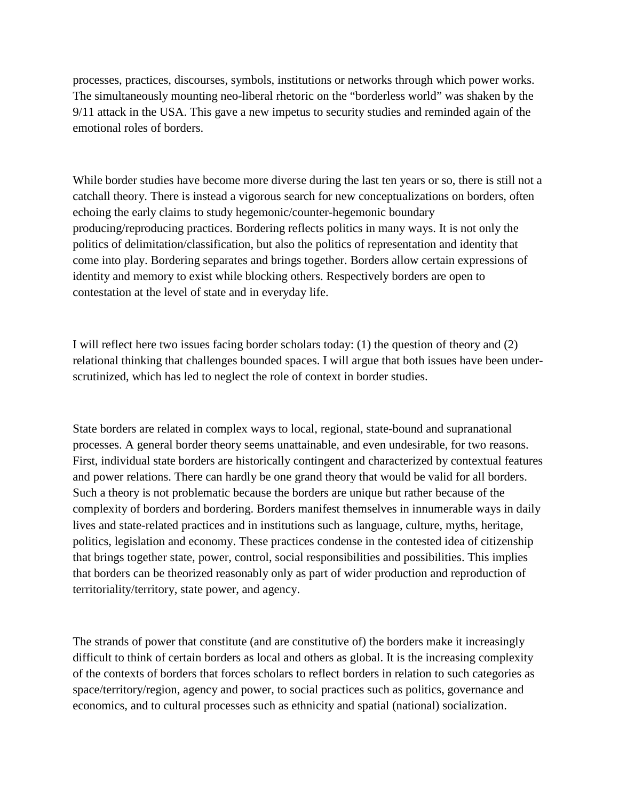processes, practices, discourses, symbols, institutions or networks through which power works. The simultaneously mounting neo-liberal rhetoric on the "borderless world" was shaken by the 9/11 attack in the USA. This gave a new impetus to security studies and reminded again of the emotional roles of borders.

While border studies have become more diverse during the last ten years or so, there is still not a catchall theory. There is instead a vigorous search for new conceptualizations on borders, often echoing the early claims to study hegemonic/counter-hegemonic boundary producing/reproducing practices. Bordering reflects politics in many ways. It is not only the politics of delimitation/classification, but also the politics of representation and identity that come into play. Bordering separates and brings together. Borders allow certain expressions of identity and memory to exist while blocking others. Respectively borders are open to contestation at the level of state and in everyday life.

I will reflect here two issues facing border scholars today: (1) the question of theory and (2) relational thinking that challenges bounded spaces. I will argue that both issues have been underscrutinized, which has led to neglect the role of context in border studies.

State borders are related in complex ways to local, regional, state-bound and supranational processes. A general border theory seems unattainable, and even undesirable, for two reasons. First, individual state borders are historically contingent and characterized by contextual features and power relations. There can hardly be one grand theory that would be valid for all borders. Such a theory is not problematic because the borders are unique but rather because of the complexity of borders and bordering. Borders manifest themselves in innumerable ways in daily lives and state-related practices and in institutions such as language, culture, myths, heritage, politics, legislation and economy. These practices condense in the contested idea of citizenship that brings together state, power, control, social responsibilities and possibilities. This implies that borders can be theorized reasonably only as part of wider production and reproduction of territoriality/territory, state power, and agency.

The strands of power that constitute (and are constitutive of) the borders make it increasingly difficult to think of certain borders as local and others as global. It is the increasing complexity of the contexts of borders that forces scholars to reflect borders in relation to such categories as space/territory/region, agency and power, to social practices such as politics, governance and economics, and to cultural processes such as ethnicity and spatial (national) socialization.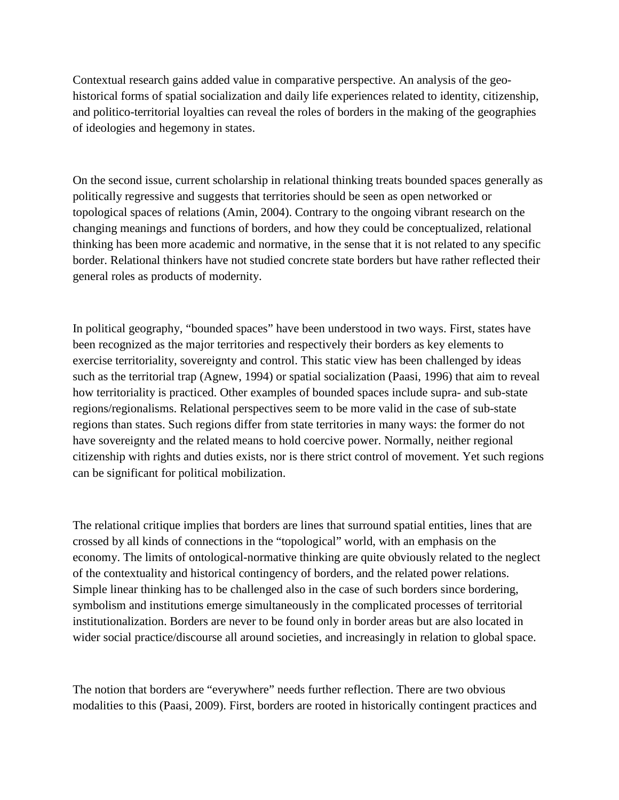Contextual research gains added value in comparative perspective. An analysis of the geohistorical forms of spatial socialization and daily life experiences related to identity, citizenship, and politico-territorial loyalties can reveal the roles of borders in the making of the geographies of ideologies and hegemony in states.

On the second issue, current scholarship in relational thinking treats bounded spaces generally as politically regressive and suggests that territories should be seen as open networked or topological spaces of relations (Amin, 2004). Contrary to the ongoing vibrant research on the changing meanings and functions of borders, and how they could be conceptualized, relational thinking has been more academic and normative, in the sense that it is not related to any specific border. Relational thinkers have not studied concrete state borders but have rather reflected their general roles as products of modernity.

In political geography, "bounded spaces" have been understood in two ways. First, states have been recognized as the major territories and respectively their borders as key elements to exercise territoriality, sovereignty and control. This static view has been challenged by ideas such as the territorial trap (Agnew, 1994) or spatial socialization (Paasi, 1996) that aim to reveal how territoriality is practiced. Other examples of bounded spaces include supra- and sub-state regions/regionalisms. Relational perspectives seem to be more valid in the case of sub-state regions than states. Such regions differ from state territories in many ways: the former do not have sovereignty and the related means to hold coercive power. Normally, neither regional citizenship with rights and duties exists, nor is there strict control of movement. Yet such regions can be significant for political mobilization.

The relational critique implies that borders are lines that surround spatial entities, lines that are crossed by all kinds of connections in the "topological" world, with an emphasis on the economy. The limits of ontological-normative thinking are quite obviously related to the neglect of the contextuality and historical contingency of borders, and the related power relations. Simple linear thinking has to be challenged also in the case of such borders since bordering, symbolism and institutions emerge simultaneously in the complicated processes of territorial institutionalization. Borders are never to be found only in border areas but are also located in wider social practice/discourse all around societies, and increasingly in relation to global space.

The notion that borders are "everywhere" needs further reflection. There are two obvious modalities to this (Paasi, 2009). First, borders are rooted in historically contingent practices and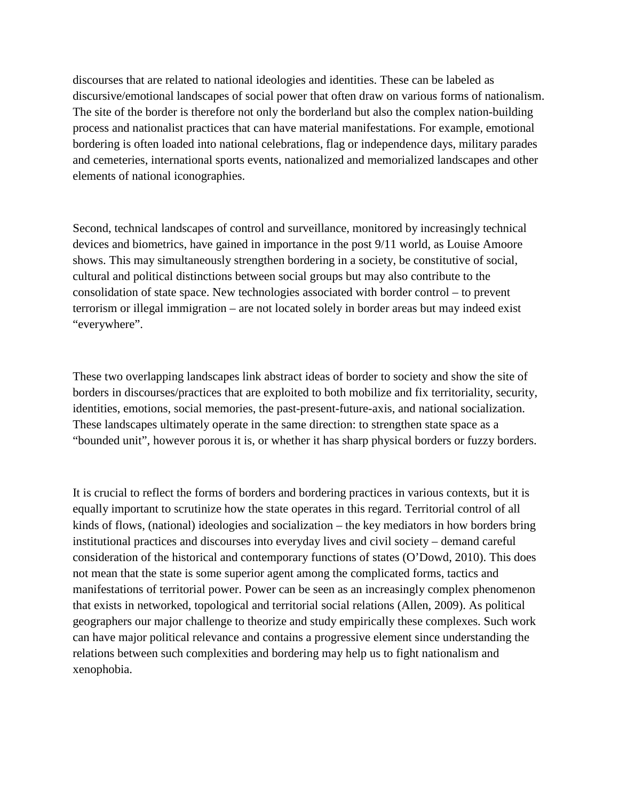discourses that are related to national ideologies and identities. These can be labeled as discursive/emotional landscapes of social power that often draw on various forms of nationalism. The site of the border is therefore not only the borderland but also the complex nation-building process and nationalist practices that can have material manifestations. For example, emotional bordering is often loaded into national celebrations, flag or independence days, military parades and cemeteries, international sports events, nationalized and memorialized landscapes and other elements of national iconographies.

Second, technical landscapes of control and surveillance, monitored by increasingly technical devices and biometrics, have gained in importance in the post 9/11 world, as Louise Amoore shows. This may simultaneously strengthen bordering in a society, be constitutive of social, cultural and political distinctions between social groups but may also contribute to the consolidation of state space. New technologies associated with border control – to prevent terrorism or illegal immigration – are not located solely in border areas but may indeed exist "everywhere".

These two overlapping landscapes link abstract ideas of border to society and show the site of borders in discourses/practices that are exploited to both mobilize and fix territoriality, security, identities, emotions, social memories, the past-present-future-axis, and national socialization. These landscapes ultimately operate in the same direction: to strengthen state space as a "bounded unit", however porous it is, or whether it has sharp physical borders or fuzzy borders.

It is crucial to reflect the forms of borders and bordering practices in various contexts, but it is equally important to scrutinize how the state operates in this regard. Territorial control of all kinds of flows, (national) ideologies and socialization – the key mediators in how borders bring institutional practices and discourses into everyday lives and civil society – demand careful consideration of the historical and contemporary functions of states (O'Dowd, 2010). This does not mean that the state is some superior agent among the complicated forms, tactics and manifestations of territorial power. Power can be seen as an increasingly complex phenomenon that exists in networked, topological and territorial social relations (Allen, 2009). As political geographers our major challenge to theorize and study empirically these complexes. Such work can have major political relevance and contains a progressive element since understanding the relations between such complexities and bordering may help us to fight nationalism and xenophobia.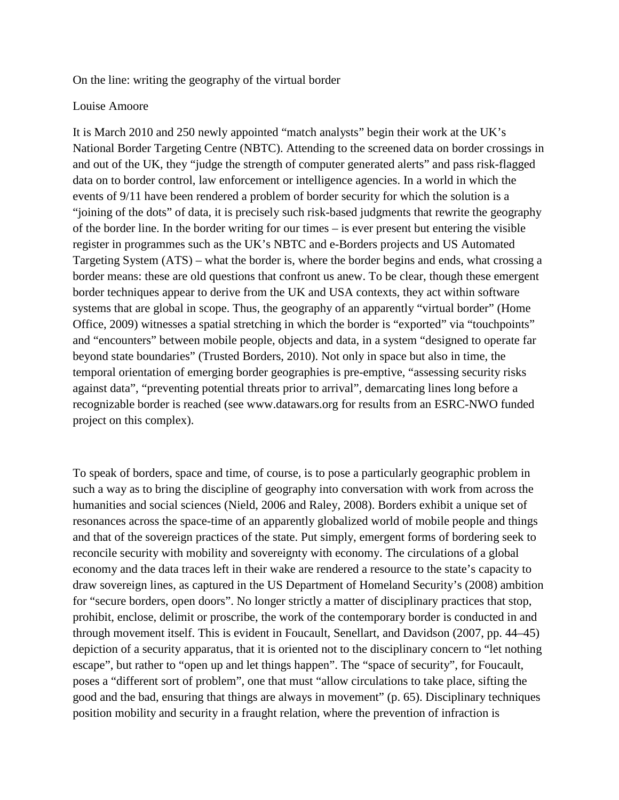On the line: writing the geography of the virtual border

#### Louise Amoore

It is March 2010 and 250 newly appointed "match analysts" begin their work at the UK's National Border Targeting Centre (NBTC). Attending to the screened data on border crossings in and out of the UK, they "judge the strength of computer generated alerts" and pass risk-flagged data on to border control, law enforcement or intelligence agencies. In a world in which the events of 9/11 have been rendered a problem of border security for which the solution is a "joining of the dots" of data, it is precisely such risk-based judgments that rewrite the geography of the border line. In the border writing for our times – is ever present but entering the visible register in programmes such as the UK's NBTC and e-Borders projects and US Automated Targeting System (ATS) – what the border is, where the border begins and ends, what crossing a border means: these are old questions that confront us anew. To be clear, though these emergent border techniques appear to derive from the UK and USA contexts, they act within software systems that are global in scope. Thus, the geography of an apparently "virtual border" (Home Office, 2009) witnesses a spatial stretching in which the border is "exported" via "touchpoints" and "encounters" between mobile people, objects and data, in a system "designed to operate far beyond state boundaries" (Trusted Borders, 2010). Not only in space but also in time, the temporal orientation of emerging border geographies is pre-emptive, "assessing security risks against data", "preventing potential threats prior to arrival", demarcating lines long before a recognizable border is reached (see www.datawars.org for results from an ESRC-NWO funded project on this complex).

To speak of borders, space and time, of course, is to pose a particularly geographic problem in such a way as to bring the discipline of geography into conversation with work from across the humanities and social sciences (Nield, 2006 and Raley, 2008). Borders exhibit a unique set of resonances across the space-time of an apparently globalized world of mobile people and things and that of the sovereign practices of the state. Put simply, emergent forms of bordering seek to reconcile security with mobility and sovereignty with economy. The circulations of a global economy and the data traces left in their wake are rendered a resource to the state's capacity to draw sovereign lines, as captured in the US Department of Homeland Security's (2008) ambition for "secure borders, open doors". No longer strictly a matter of disciplinary practices that stop, prohibit, enclose, delimit or proscribe, the work of the contemporary border is conducted in and through movement itself. This is evident in Foucault, Senellart, and Davidson (2007, pp. 44–45) depiction of a security apparatus, that it is oriented not to the disciplinary concern to "let nothing escape", but rather to "open up and let things happen". The "space of security", for Foucault, poses a "different sort of problem", one that must "allow circulations to take place, sifting the good and the bad, ensuring that things are always in movement" (p. 65). Disciplinary techniques position mobility and security in a fraught relation, where the prevention of infraction is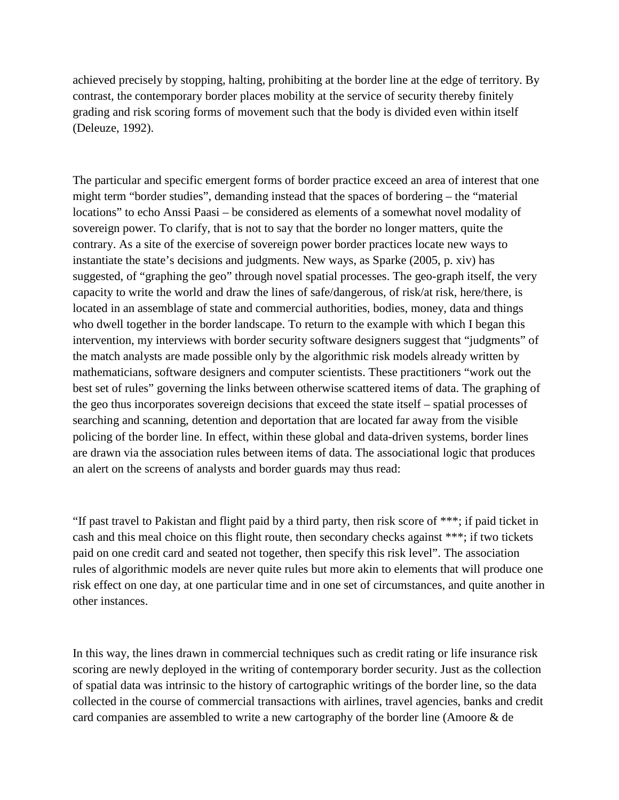achieved precisely by stopping, halting, prohibiting at the border line at the edge of territory. By contrast, the contemporary border places mobility at the service of security thereby finitely grading and risk scoring forms of movement such that the body is divided even within itself (Deleuze, 1992).

The particular and specific emergent forms of border practice exceed an area of interest that one might term "border studies", demanding instead that the spaces of bordering – the "material locations" to echo Anssi Paasi – be considered as elements of a somewhat novel modality of sovereign power. To clarify, that is not to say that the border no longer matters, quite the contrary. As a site of the exercise of sovereign power border practices locate new ways to instantiate the state's decisions and judgments. New ways, as Sparke (2005, p. xiv) has suggested, of "graphing the geo" through novel spatial processes. The geo-graph itself, the very capacity to write the world and draw the lines of safe/dangerous, of risk/at risk, here/there, is located in an assemblage of state and commercial authorities, bodies, money, data and things who dwell together in the border landscape. To return to the example with which I began this intervention, my interviews with border security software designers suggest that "judgments" of the match analysts are made possible only by the algorithmic risk models already written by mathematicians, software designers and computer scientists. These practitioners "work out the best set of rules" governing the links between otherwise scattered items of data. The graphing of the geo thus incorporates sovereign decisions that exceed the state itself – spatial processes of searching and scanning, detention and deportation that are located far away from the visible policing of the border line. In effect, within these global and data-driven systems, border lines are drawn via the association rules between items of data. The associational logic that produces an alert on the screens of analysts and border guards may thus read:

"If past travel to Pakistan and flight paid by a third party, then risk score of \*\*\*; if paid ticket in cash and this meal choice on this flight route, then secondary checks against \*\*\*; if two tickets paid on one credit card and seated not together, then specify this risk level". The association rules of algorithmic models are never quite rules but more akin to elements that will produce one risk effect on one day, at one particular time and in one set of circumstances, and quite another in other instances.

In this way, the lines drawn in commercial techniques such as credit rating or life insurance risk scoring are newly deployed in the writing of contemporary border security. Just as the collection of spatial data was intrinsic to the history of cartographic writings of the border line, so the data collected in the course of commercial transactions with airlines, travel agencies, banks and credit card companies are assembled to write a new cartography of the border line (Amoore & de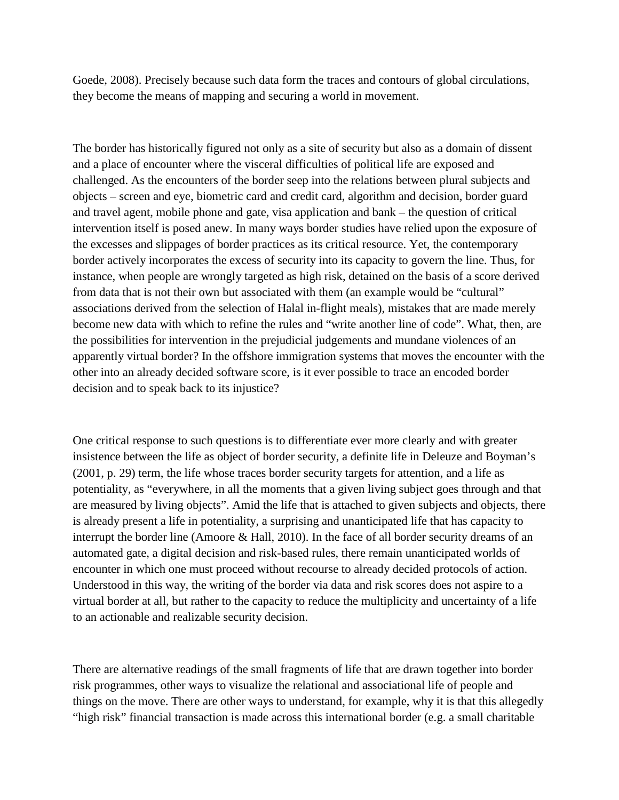Goede, 2008). Precisely because such data form the traces and contours of global circulations, they become the means of mapping and securing a world in movement.

The border has historically figured not only as a site of security but also as a domain of dissent and a place of encounter where the visceral difficulties of political life are exposed and challenged. As the encounters of the border seep into the relations between plural subjects and objects – screen and eye, biometric card and credit card, algorithm and decision, border guard and travel agent, mobile phone and gate, visa application and bank – the question of critical intervention itself is posed anew. In many ways border studies have relied upon the exposure of the excesses and slippages of border practices as its critical resource. Yet, the contemporary border actively incorporates the excess of security into its capacity to govern the line. Thus, for instance, when people are wrongly targeted as high risk, detained on the basis of a score derived from data that is not their own but associated with them (an example would be "cultural" associations derived from the selection of Halal in-flight meals), mistakes that are made merely become new data with which to refine the rules and "write another line of code". What, then, are the possibilities for intervention in the prejudicial judgements and mundane violences of an apparently virtual border? In the offshore immigration systems that moves the encounter with the other into an already decided software score, is it ever possible to trace an encoded border decision and to speak back to its injustice?

One critical response to such questions is to differentiate ever more clearly and with greater insistence between the life as object of border security, a definite life in Deleuze and Boyman's (2001, p. 29) term, the life whose traces border security targets for attention, and a life as potentiality, as "everywhere, in all the moments that a given living subject goes through and that are measured by living objects". Amid the life that is attached to given subjects and objects, there is already present a life in potentiality, a surprising and unanticipated life that has capacity to interrupt the border line (Amoore & Hall, 2010). In the face of all border security dreams of an automated gate, a digital decision and risk-based rules, there remain unanticipated worlds of encounter in which one must proceed without recourse to already decided protocols of action. Understood in this way, the writing of the border via data and risk scores does not aspire to a virtual border at all, but rather to the capacity to reduce the multiplicity and uncertainty of a life to an actionable and realizable security decision.

There are alternative readings of the small fragments of life that are drawn together into border risk programmes, other ways to visualize the relational and associational life of people and things on the move. There are other ways to understand, for example, why it is that this allegedly "high risk" financial transaction is made across this international border (e.g. a small charitable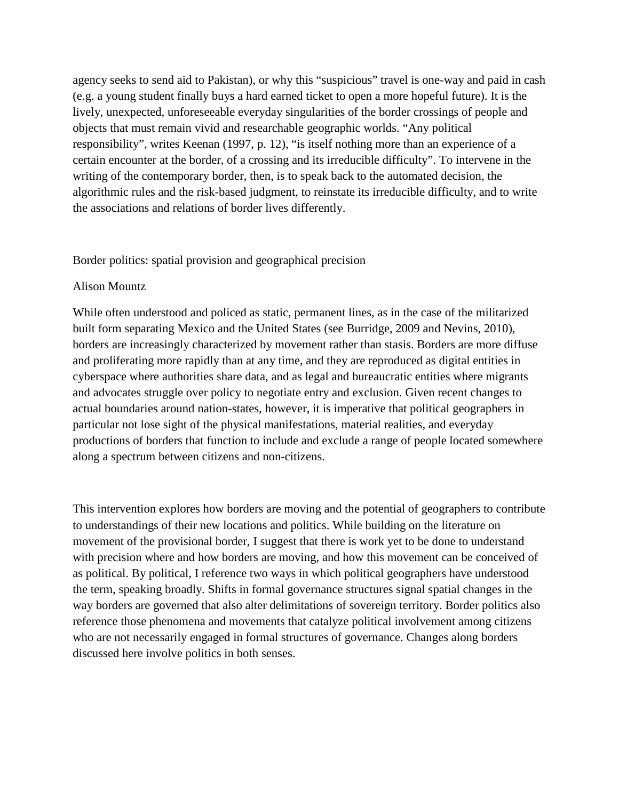agency seeks to send aid to Pakistan), or why this "suspicious" travel is one-way and paid in cash (e.g. a young student finally buys a hard earned ticket to open a more hopeful future). It is the lively, unexpected, unforeseeable everyday singularities of the border crossings of people and objects that must remain vivid and researchable geographic worlds. "Any political responsibility", writes Keenan (1997, p. 12), "is itself nothing more than an experience of a certain encounter at the border, of a crossing and its irreducible difficulty". To intervene in the writing of the contemporary border, then, is to speak back to the automated decision, the algorithmic rules and the risk-based judgment, to reinstate its irreducible difficulty, and to write the associations and relations of border lives differently.

### Border politics: spatial provision and geographical precision

#### Alison Mountz

While often understood and policed as static, permanent lines, as in the case of the militarized built form separating Mexico and the United States (see Burridge, 2009 and Nevins, 2010), borders are increasingly characterized by movement rather than stasis. Borders are more diffuse and proliferating more rapidly than at any time, and they are reproduced as digital entities in cyberspace where authorities share data, and as legal and bureaucratic entities where migrants and advocates struggle over policy to negotiate entry and exclusion. Given recent changes to actual boundaries around nation-states, however, it is imperative that political geographers in particular not lose sight of the physical manifestations, material realities, and everyday productions of borders that function to include and exclude a range of people located somewhere along a spectrum between citizens and non-citizens.

This intervention explores how borders are moving and the potential of geographers to contribute to understandings of their new locations and politics. While building on the literature on movement of the provisional border, I suggest that there is work yet to be done to understand with precision where and how borders are moving, and how this movement can be conceived of as political. By political, I reference two ways in which political geographers have understood the term, speaking broadly. Shifts in formal governance structures signal spatial changes in the way borders are governed that also alter delimitations of sovereign territory. Border politics also reference those phenomena and movements that catalyze political involvement among citizens who are not necessarily engaged in formal structures of governance. Changes along borders discussed here involve politics in both senses.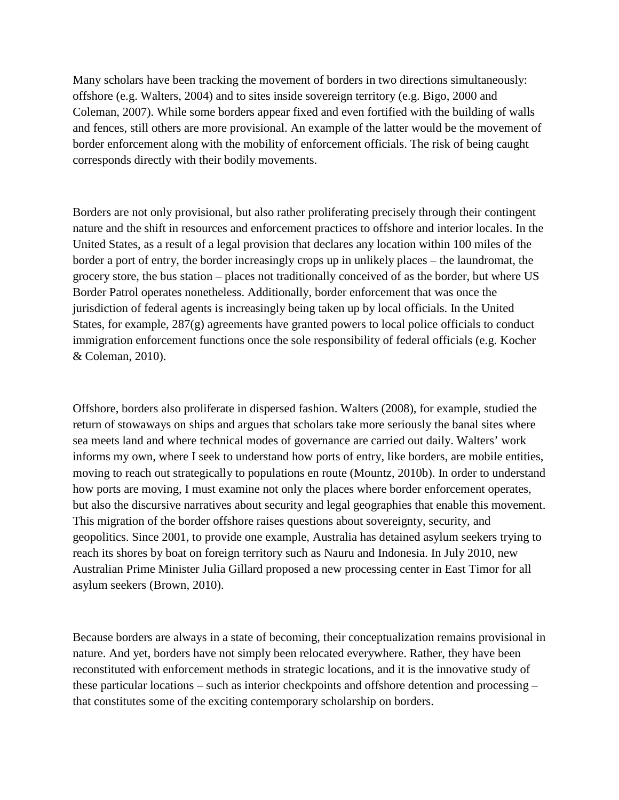Many scholars have been tracking the movement of borders in two directions simultaneously: offshore (e.g. Walters, 2004) and to sites inside sovereign territory (e.g. Bigo, 2000 and Coleman, 2007). While some borders appear fixed and even fortified with the building of walls and fences, still others are more provisional. An example of the latter would be the movement of border enforcement along with the mobility of enforcement officials. The risk of being caught corresponds directly with their bodily movements.

Borders are not only provisional, but also rather proliferating precisely through their contingent nature and the shift in resources and enforcement practices to offshore and interior locales. In the United States, as a result of a legal provision that declares any location within 100 miles of the border a port of entry, the border increasingly crops up in unlikely places – the laundromat, the grocery store, the bus station – places not traditionally conceived of as the border, but where US Border Patrol operates nonetheless. Additionally, border enforcement that was once the jurisdiction of federal agents is increasingly being taken up by local officials. In the United States, for example, 287(g) agreements have granted powers to local police officials to conduct immigration enforcement functions once the sole responsibility of federal officials (e.g. Kocher & Coleman, 2010).

Offshore, borders also proliferate in dispersed fashion. Walters (2008), for example, studied the return of stowaways on ships and argues that scholars take more seriously the banal sites where sea meets land and where technical modes of governance are carried out daily. Walters' work informs my own, where I seek to understand how ports of entry, like borders, are mobile entities, moving to reach out strategically to populations en route (Mountz, 2010b). In order to understand how ports are moving, I must examine not only the places where border enforcement operates, but also the discursive narratives about security and legal geographies that enable this movement. This migration of the border offshore raises questions about sovereignty, security, and geopolitics. Since 2001, to provide one example, Australia has detained asylum seekers trying to reach its shores by boat on foreign territory such as Nauru and Indonesia. In July 2010, new Australian Prime Minister Julia Gillard proposed a new processing center in East Timor for all asylum seekers (Brown, 2010).

Because borders are always in a state of becoming, their conceptualization remains provisional in nature. And yet, borders have not simply been relocated everywhere. Rather, they have been reconstituted with enforcement methods in strategic locations, and it is the innovative study of these particular locations – such as interior checkpoints and offshore detention and processing – that constitutes some of the exciting contemporary scholarship on borders.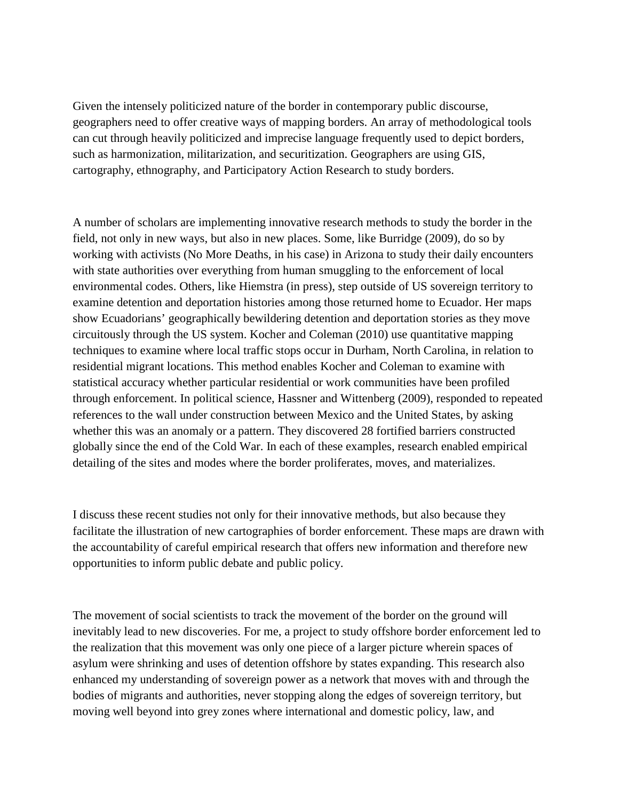Given the intensely politicized nature of the border in contemporary public discourse, geographers need to offer creative ways of mapping borders. An array of methodological tools can cut through heavily politicized and imprecise language frequently used to depict borders, such as harmonization, militarization, and securitization. Geographers are using GIS, cartography, ethnography, and Participatory Action Research to study borders.

A number of scholars are implementing innovative research methods to study the border in the field, not only in new ways, but also in new places. Some, like Burridge (2009), do so by working with activists (No More Deaths, in his case) in Arizona to study their daily encounters with state authorities over everything from human smuggling to the enforcement of local environmental codes. Others, like Hiemstra (in press), step outside of US sovereign territory to examine detention and deportation histories among those returned home to Ecuador. Her maps show Ecuadorians' geographically bewildering detention and deportation stories as they move circuitously through the US system. Kocher and Coleman (2010) use quantitative mapping techniques to examine where local traffic stops occur in Durham, North Carolina, in relation to residential migrant locations. This method enables Kocher and Coleman to examine with statistical accuracy whether particular residential or work communities have been profiled through enforcement. In political science, Hassner and Wittenberg (2009), responded to repeated references to the wall under construction between Mexico and the United States, by asking whether this was an anomaly or a pattern. They discovered 28 fortified barriers constructed globally since the end of the Cold War. In each of these examples, research enabled empirical detailing of the sites and modes where the border proliferates, moves, and materializes.

I discuss these recent studies not only for their innovative methods, but also because they facilitate the illustration of new cartographies of border enforcement. These maps are drawn with the accountability of careful empirical research that offers new information and therefore new opportunities to inform public debate and public policy.

The movement of social scientists to track the movement of the border on the ground will inevitably lead to new discoveries. For me, a project to study offshore border enforcement led to the realization that this movement was only one piece of a larger picture wherein spaces of asylum were shrinking and uses of detention offshore by states expanding. This research also enhanced my understanding of sovereign power as a network that moves with and through the bodies of migrants and authorities, never stopping along the edges of sovereign territory, but moving well beyond into grey zones where international and domestic policy, law, and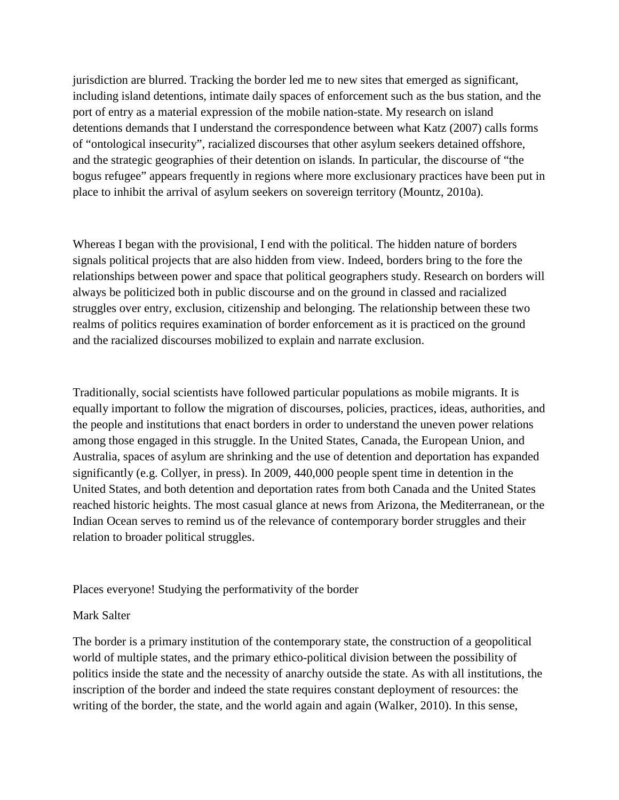jurisdiction are blurred. Tracking the border led me to new sites that emerged as significant, including island detentions, intimate daily spaces of enforcement such as the bus station, and the port of entry as a material expression of the mobile nation-state. My research on island detentions demands that I understand the correspondence between what Katz (2007) calls forms of "ontological insecurity", racialized discourses that other asylum seekers detained offshore, and the strategic geographies of their detention on islands. In particular, the discourse of "the bogus refugee" appears frequently in regions where more exclusionary practices have been put in place to inhibit the arrival of asylum seekers on sovereign territory (Mountz, 2010a).

Whereas I began with the provisional, I end with the political. The hidden nature of borders signals political projects that are also hidden from view. Indeed, borders bring to the fore the relationships between power and space that political geographers study. Research on borders will always be politicized both in public discourse and on the ground in classed and racialized struggles over entry, exclusion, citizenship and belonging. The relationship between these two realms of politics requires examination of border enforcement as it is practiced on the ground and the racialized discourses mobilized to explain and narrate exclusion.

Traditionally, social scientists have followed particular populations as mobile migrants. It is equally important to follow the migration of discourses, policies, practices, ideas, authorities, and the people and institutions that enact borders in order to understand the uneven power relations among those engaged in this struggle. In the United States, Canada, the European Union, and Australia, spaces of asylum are shrinking and the use of detention and deportation has expanded significantly (e.g. Collyer, in press). In 2009, 440,000 people spent time in detention in the United States, and both detention and deportation rates from both Canada and the United States reached historic heights. The most casual glance at news from Arizona, the Mediterranean, or the Indian Ocean serves to remind us of the relevance of contemporary border struggles and their relation to broader political struggles.

### Places everyone! Studying the performativity of the border

#### Mark Salter

The border is a primary institution of the contemporary state, the construction of a geopolitical world of multiple states, and the primary ethico-political division between the possibility of politics inside the state and the necessity of anarchy outside the state. As with all institutions, the inscription of the border and indeed the state requires constant deployment of resources: the writing of the border, the state, and the world again and again (Walker, 2010). In this sense,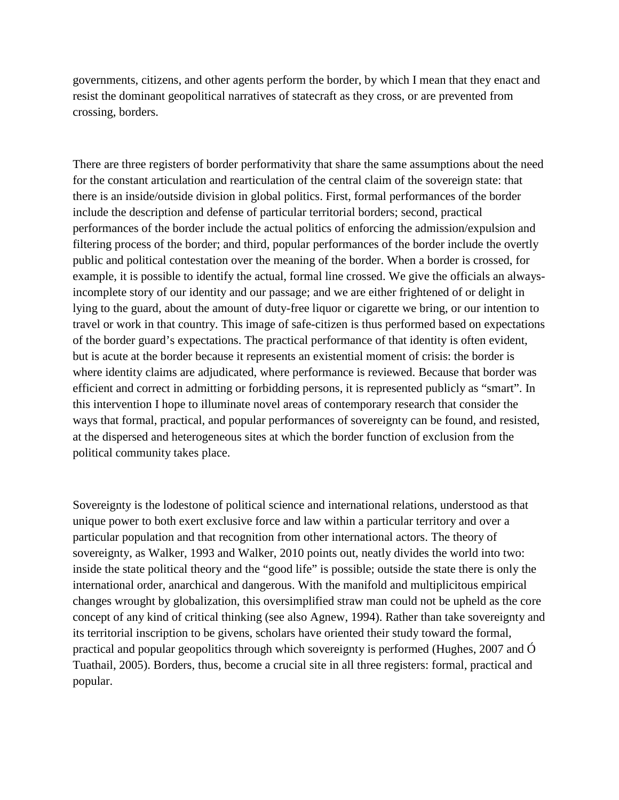governments, citizens, and other agents perform the border, by which I mean that they enact and resist the dominant geopolitical narratives of statecraft as they cross, or are prevented from crossing, borders.

There are three registers of border performativity that share the same assumptions about the need for the constant articulation and rearticulation of the central claim of the sovereign state: that there is an inside/outside division in global politics. First, formal performances of the border include the description and defense of particular territorial borders; second, practical performances of the border include the actual politics of enforcing the admission/expulsion and filtering process of the border; and third, popular performances of the border include the overtly public and political contestation over the meaning of the border. When a border is crossed, for example, it is possible to identify the actual, formal line crossed. We give the officials an alwaysincomplete story of our identity and our passage; and we are either frightened of or delight in lying to the guard, about the amount of duty-free liquor or cigarette we bring, or our intention to travel or work in that country. This image of safe-citizen is thus performed based on expectations of the border guard's expectations. The practical performance of that identity is often evident, but is acute at the border because it represents an existential moment of crisis: the border is where identity claims are adjudicated, where performance is reviewed. Because that border was efficient and correct in admitting or forbidding persons, it is represented publicly as "smart". In this intervention I hope to illuminate novel areas of contemporary research that consider the ways that formal, practical, and popular performances of sovereignty can be found, and resisted, at the dispersed and heterogeneous sites at which the border function of exclusion from the political community takes place.

Sovereignty is the lodestone of political science and international relations, understood as that unique power to both exert exclusive force and law within a particular territory and over a particular population and that recognition from other international actors. The theory of sovereignty, as Walker, 1993 and Walker, 2010 points out, neatly divides the world into two: inside the state political theory and the "good life" is possible; outside the state there is only the international order, anarchical and dangerous. With the manifold and multiplicitous empirical changes wrought by globalization, this oversimplified straw man could not be upheld as the core concept of any kind of critical thinking (see also Agnew, 1994). Rather than take sovereignty and its territorial inscription to be givens, scholars have oriented their study toward the formal, practical and popular geopolitics through which sovereignty is performed (Hughes, 2007 and Ó Tuathail, 2005). Borders, thus, become a crucial site in all three registers: formal, practical and popular.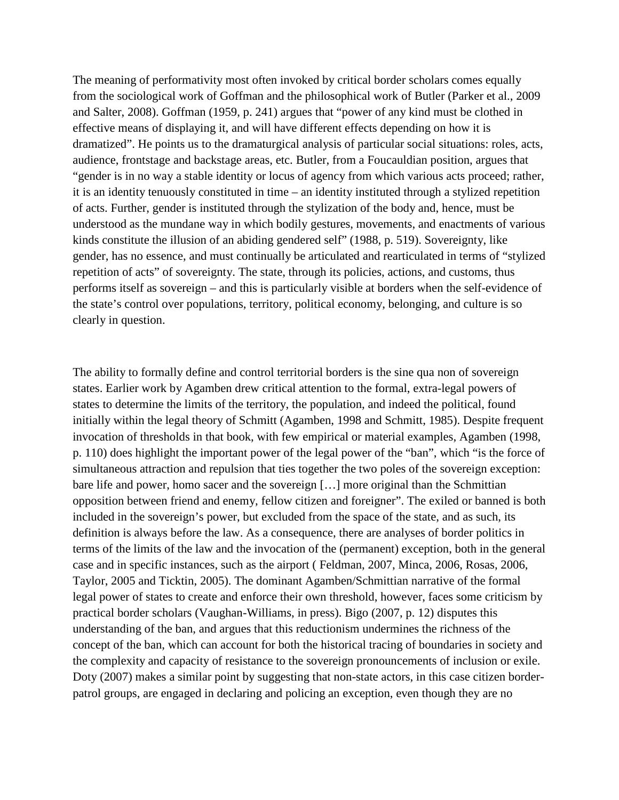The meaning of performativity most often invoked by critical border scholars comes equally from the sociological work of Goffman and the philosophical work of Butler (Parker et al., 2009 and Salter, 2008). Goffman (1959, p. 241) argues that "power of any kind must be clothed in effective means of displaying it, and will have different effects depending on how it is dramatized". He points us to the dramaturgical analysis of particular social situations: roles, acts, audience, frontstage and backstage areas, etc. Butler, from a Foucauldian position, argues that "gender is in no way a stable identity or locus of agency from which various acts proceed; rather, it is an identity tenuously constituted in time – an identity instituted through a stylized repetition of acts. Further, gender is instituted through the stylization of the body and, hence, must be understood as the mundane way in which bodily gestures, movements, and enactments of various kinds constitute the illusion of an abiding gendered self" (1988, p. 519). Sovereignty, like gender, has no essence, and must continually be articulated and rearticulated in terms of "stylized repetition of acts" of sovereignty. The state, through its policies, actions, and customs, thus performs itself as sovereign – and this is particularly visible at borders when the self-evidence of the state's control over populations, territory, political economy, belonging, and culture is so clearly in question.

The ability to formally define and control territorial borders is the sine qua non of sovereign states. Earlier work by Agamben drew critical attention to the formal, extra-legal powers of states to determine the limits of the territory, the population, and indeed the political, found initially within the legal theory of Schmitt (Agamben, 1998 and Schmitt, 1985). Despite frequent invocation of thresholds in that book, with few empirical or material examples, Agamben (1998, p. 110) does highlight the important power of the legal power of the "ban", which "is the force of simultaneous attraction and repulsion that ties together the two poles of the sovereign exception: bare life and power, homo sacer and the sovereign […] more original than the Schmittian opposition between friend and enemy, fellow citizen and foreigner". The exiled or banned is both included in the sovereign's power, but excluded from the space of the state, and as such, its definition is always before the law. As a consequence, there are analyses of border politics in terms of the limits of the law and the invocation of the (permanent) exception, both in the general case and in specific instances, such as the airport ( Feldman, 2007, Minca, 2006, Rosas, 2006, Taylor, 2005 and Ticktin, 2005). The dominant Agamben/Schmittian narrative of the formal legal power of states to create and enforce their own threshold, however, faces some criticism by practical border scholars (Vaughan-Williams, in press). Bigo (2007, p. 12) disputes this understanding of the ban, and argues that this reductionism undermines the richness of the concept of the ban, which can account for both the historical tracing of boundaries in society and the complexity and capacity of resistance to the sovereign pronouncements of inclusion or exile. Doty (2007) makes a similar point by suggesting that non-state actors, in this case citizen borderpatrol groups, are engaged in declaring and policing an exception, even though they are no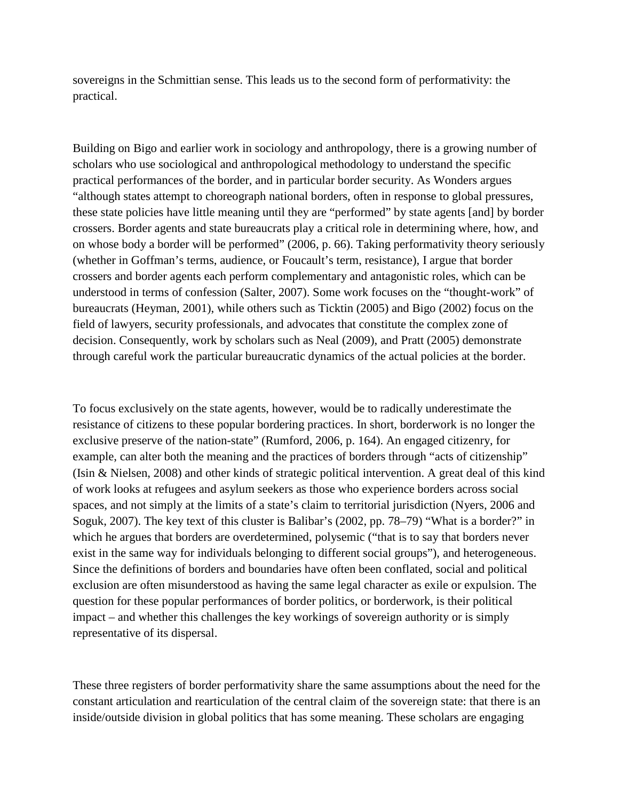sovereigns in the Schmittian sense. This leads us to the second form of performativity: the practical.

Building on Bigo and earlier work in sociology and anthropology, there is a growing number of scholars who use sociological and anthropological methodology to understand the specific practical performances of the border, and in particular border security. As Wonders argues "although states attempt to choreograph national borders, often in response to global pressures, these state policies have little meaning until they are "performed" by state agents [and] by border crossers. Border agents and state bureaucrats play a critical role in determining where, how, and on whose body a border will be performed" (2006, p. 66). Taking performativity theory seriously (whether in Goffman's terms, audience, or Foucault's term, resistance), I argue that border crossers and border agents each perform complementary and antagonistic roles, which can be understood in terms of confession (Salter, 2007). Some work focuses on the "thought-work" of bureaucrats (Heyman, 2001), while others such as Ticktin (2005) and Bigo (2002) focus on the field of lawyers, security professionals, and advocates that constitute the complex zone of decision. Consequently, work by scholars such as Neal (2009), and Pratt (2005) demonstrate through careful work the particular bureaucratic dynamics of the actual policies at the border.

To focus exclusively on the state agents, however, would be to radically underestimate the resistance of citizens to these popular bordering practices. In short, borderwork is no longer the exclusive preserve of the nation-state" (Rumford, 2006, p. 164). An engaged citizenry, for example, can alter both the meaning and the practices of borders through "acts of citizenship" (Isin & Nielsen, 2008) and other kinds of strategic political intervention. A great deal of this kind of work looks at refugees and asylum seekers as those who experience borders across social spaces, and not simply at the limits of a state's claim to territorial jurisdiction (Nyers, 2006 and Soguk, 2007). The key text of this cluster is Balibar's (2002, pp. 78–79) "What is a border?" in which he argues that borders are overdetermined, polysemic ("that is to say that borders never exist in the same way for individuals belonging to different social groups"), and heterogeneous. Since the definitions of borders and boundaries have often been conflated, social and political exclusion are often misunderstood as having the same legal character as exile or expulsion. The question for these popular performances of border politics, or borderwork, is their political impact – and whether this challenges the key workings of sovereign authority or is simply representative of its dispersal.

These three registers of border performativity share the same assumptions about the need for the constant articulation and rearticulation of the central claim of the sovereign state: that there is an inside/outside division in global politics that has some meaning. These scholars are engaging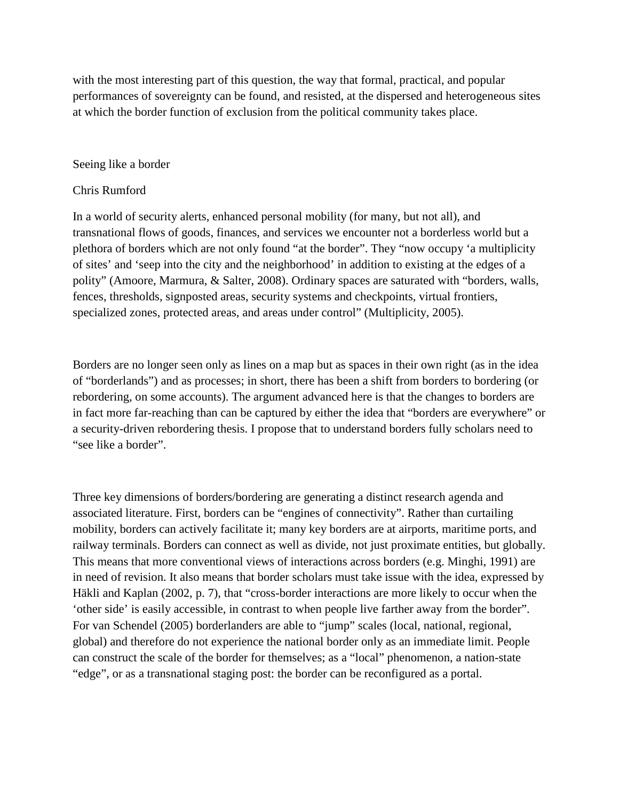with the most interesting part of this question, the way that formal, practical, and popular performances of sovereignty can be found, and resisted, at the dispersed and heterogeneous sites at which the border function of exclusion from the political community takes place.

#### Seeing like a border

#### Chris Rumford

In a world of security alerts, enhanced personal mobility (for many, but not all), and transnational flows of goods, finances, and services we encounter not a borderless world but a plethora of borders which are not only found "at the border". They "now occupy 'a multiplicity of sites' and 'seep into the city and the neighborhood' in addition to existing at the edges of a polity" (Amoore, Marmura, & Salter, 2008). Ordinary spaces are saturated with "borders, walls, fences, thresholds, signposted areas, security systems and checkpoints, virtual frontiers, specialized zones, protected areas, and areas under control" (Multiplicity, 2005).

Borders are no longer seen only as lines on a map but as spaces in their own right (as in the idea of "borderlands") and as processes; in short, there has been a shift from borders to bordering (or rebordering, on some accounts). The argument advanced here is that the changes to borders are in fact more far-reaching than can be captured by either the idea that "borders are everywhere" or a security-driven rebordering thesis. I propose that to understand borders fully scholars need to "see like a border".

Three key dimensions of borders/bordering are generating a distinct research agenda and associated literature. First, borders can be "engines of connectivity". Rather than curtailing mobility, borders can actively facilitate it; many key borders are at airports, maritime ports, and railway terminals. Borders can connect as well as divide, not just proximate entities, but globally. This means that more conventional views of interactions across borders (e.g. Minghi, 1991) are in need of revision. It also means that border scholars must take issue with the idea, expressed by Häkli and Kaplan (2002, p. 7), that "cross-border interactions are more likely to occur when the 'other side' is easily accessible, in contrast to when people live farther away from the border". For van Schendel (2005) borderlanders are able to "jump" scales (local, national, regional, global) and therefore do not experience the national border only as an immediate limit. People can construct the scale of the border for themselves; as a "local" phenomenon, a nation-state "edge", or as a transnational staging post: the border can be reconfigured as a portal.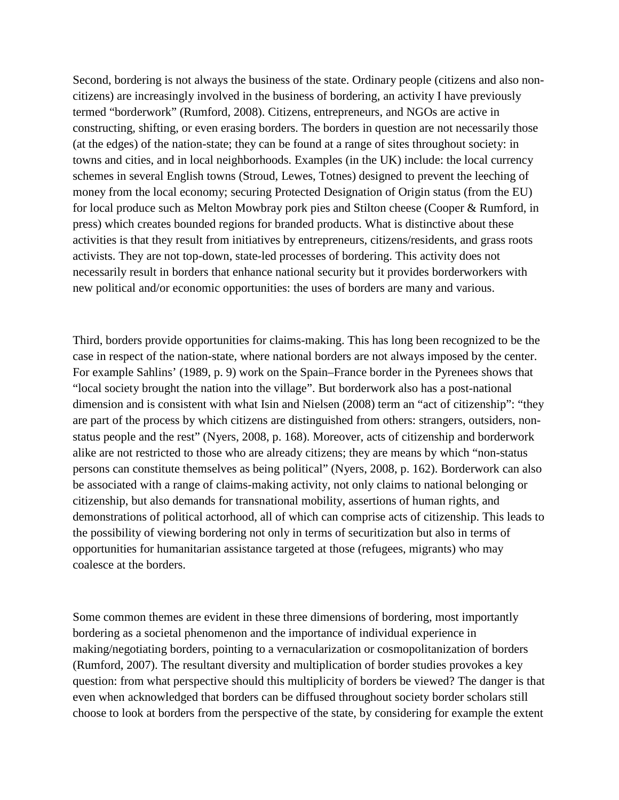Second, bordering is not always the business of the state. Ordinary people (citizens and also noncitizens) are increasingly involved in the business of bordering, an activity I have previously termed "borderwork" (Rumford, 2008). Citizens, entrepreneurs, and NGOs are active in constructing, shifting, or even erasing borders. The borders in question are not necessarily those (at the edges) of the nation-state; they can be found at a range of sites throughout society: in towns and cities, and in local neighborhoods. Examples (in the UK) include: the local currency schemes in several English towns (Stroud, Lewes, Totnes) designed to prevent the leeching of money from the local economy; securing Protected Designation of Origin status (from the EU) for local produce such as Melton Mowbray pork pies and Stilton cheese (Cooper & Rumford, in press) which creates bounded regions for branded products. What is distinctive about these activities is that they result from initiatives by entrepreneurs, citizens/residents, and grass roots activists. They are not top-down, state-led processes of bordering. This activity does not necessarily result in borders that enhance national security but it provides borderworkers with new political and/or economic opportunities: the uses of borders are many and various.

Third, borders provide opportunities for claims-making. This has long been recognized to be the case in respect of the nation-state, where national borders are not always imposed by the center. For example Sahlins' (1989, p. 9) work on the Spain–France border in the Pyrenees shows that "local society brought the nation into the village". But borderwork also has a post-national dimension and is consistent with what Isin and Nielsen (2008) term an "act of citizenship": "they are part of the process by which citizens are distinguished from others: strangers, outsiders, nonstatus people and the rest" (Nyers, 2008, p. 168). Moreover, acts of citizenship and borderwork alike are not restricted to those who are already citizens; they are means by which "non-status persons can constitute themselves as being political" (Nyers, 2008, p. 162). Borderwork can also be associated with a range of claims-making activity, not only claims to national belonging or citizenship, but also demands for transnational mobility, assertions of human rights, and demonstrations of political actorhood, all of which can comprise acts of citizenship. This leads to the possibility of viewing bordering not only in terms of securitization but also in terms of opportunities for humanitarian assistance targeted at those (refugees, migrants) who may coalesce at the borders.

Some common themes are evident in these three dimensions of bordering, most importantly bordering as a societal phenomenon and the importance of individual experience in making/negotiating borders, pointing to a vernacularization or cosmopolitanization of borders (Rumford, 2007). The resultant diversity and multiplication of border studies provokes a key question: from what perspective should this multiplicity of borders be viewed? The danger is that even when acknowledged that borders can be diffused throughout society border scholars still choose to look at borders from the perspective of the state, by considering for example the extent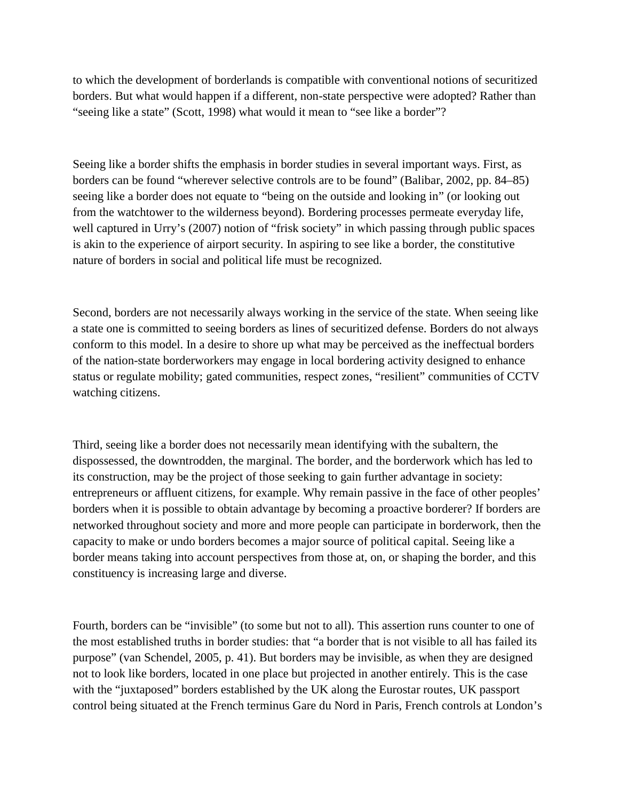to which the development of borderlands is compatible with conventional notions of securitized borders. But what would happen if a different, non-state perspective were adopted? Rather than "seeing like a state" (Scott, 1998) what would it mean to "see like a border"?

Seeing like a border shifts the emphasis in border studies in several important ways. First, as borders can be found "wherever selective controls are to be found" (Balibar, 2002, pp. 84–85) seeing like a border does not equate to "being on the outside and looking in" (or looking out from the watchtower to the wilderness beyond). Bordering processes permeate everyday life, well captured in Urry's (2007) notion of "frisk society" in which passing through public spaces is akin to the experience of airport security. In aspiring to see like a border, the constitutive nature of borders in social and political life must be recognized.

Second, borders are not necessarily always working in the service of the state. When seeing like a state one is committed to seeing borders as lines of securitized defense. Borders do not always conform to this model. In a desire to shore up what may be perceived as the ineffectual borders of the nation-state borderworkers may engage in local bordering activity designed to enhance status or regulate mobility; gated communities, respect zones, "resilient" communities of CCTV watching citizens.

Third, seeing like a border does not necessarily mean identifying with the subaltern, the dispossessed, the downtrodden, the marginal. The border, and the borderwork which has led to its construction, may be the project of those seeking to gain further advantage in society: entrepreneurs or affluent citizens, for example. Why remain passive in the face of other peoples' borders when it is possible to obtain advantage by becoming a proactive borderer? If borders are networked throughout society and more and more people can participate in borderwork, then the capacity to make or undo borders becomes a major source of political capital. Seeing like a border means taking into account perspectives from those at, on, or shaping the border, and this constituency is increasing large and diverse.

Fourth, borders can be "invisible" (to some but not to all). This assertion runs counter to one of the most established truths in border studies: that "a border that is not visible to all has failed its purpose" (van Schendel, 2005, p. 41). But borders may be invisible, as when they are designed not to look like borders, located in one place but projected in another entirely. This is the case with the "juxtaposed" borders established by the UK along the Eurostar routes, UK passport control being situated at the French terminus Gare du Nord in Paris, French controls at London's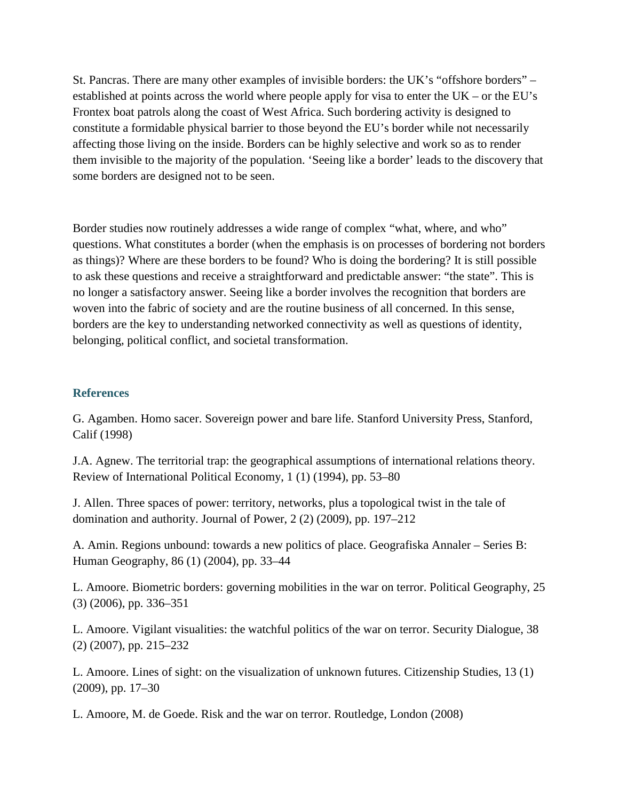St. Pancras. There are many other examples of invisible borders: the UK's "offshore borders" – established at points across the world where people apply for visa to enter the UK – or the EU's Frontex boat patrols along the coast of West Africa. Such bordering activity is designed to constitute a formidable physical barrier to those beyond the EU's border while not necessarily affecting those living on the inside. Borders can be highly selective and work so as to render them invisible to the majority of the population. 'Seeing like a border' leads to the discovery that some borders are designed not to be seen.

Border studies now routinely addresses a wide range of complex "what, where, and who" questions. What constitutes a border (when the emphasis is on processes of bordering not borders as things)? Where are these borders to be found? Who is doing the bordering? It is still possible to ask these questions and receive a straightforward and predictable answer: "the state". This is no longer a satisfactory answer. Seeing like a border involves the recognition that borders are woven into the fabric of society and are the routine business of all concerned. In this sense, borders are the key to understanding networked connectivity as well as questions of identity, belonging, political conflict, and societal transformation.

### **References**

G. Agamben. Homo sacer. Sovereign power and bare life. Stanford University Press, Stanford, Calif (1998)

J.A. Agnew. The territorial trap: the geographical assumptions of international relations theory. Review of International Political Economy, 1 (1) (1994), pp. 53–80

J. Allen. Three spaces of power: territory, networks, plus a topological twist in the tale of domination and authority. Journal of Power, 2 (2) (2009), pp. 197–212

A. Amin. Regions unbound: towards a new politics of place. Geografiska Annaler – Series B: Human Geography, 86 (1) (2004), pp. 33–44

L. Amoore. Biometric borders: governing mobilities in the war on terror. Political Geography, 25 (3) (2006), pp. 336–351

L. Amoore. Vigilant visualities: the watchful politics of the war on terror. Security Dialogue, 38 (2) (2007), pp. 215–232

L. Amoore. Lines of sight: on the visualization of unknown futures. Citizenship Studies, 13 (1) (2009), pp. 17–30

L. Amoore, M. de Goede. Risk and the war on terror. Routledge, London (2008)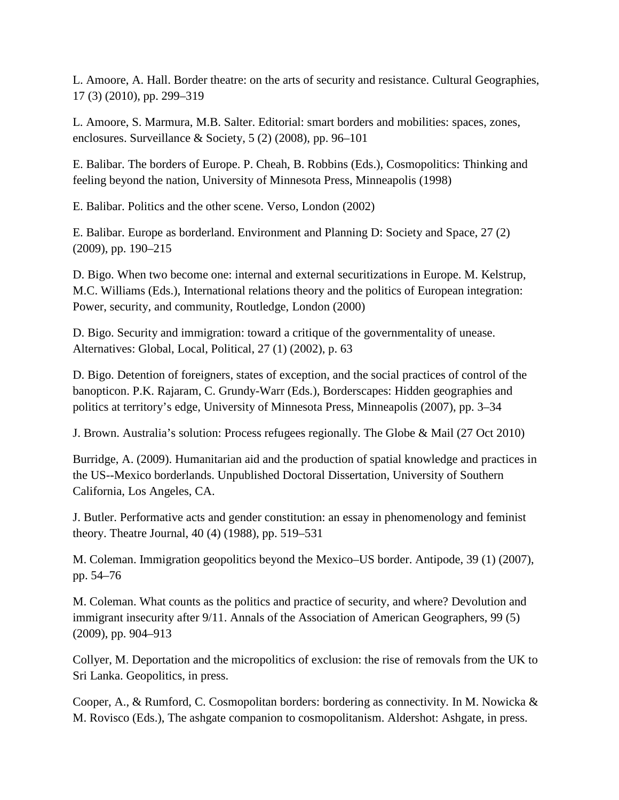L. Amoore, A. Hall. Border theatre: on the arts of security and resistance. Cultural Geographies, 17 (3) (2010), pp. 299–319

L. Amoore, S. Marmura, M.B. Salter. Editorial: smart borders and mobilities: spaces, zones, enclosures. Surveillance & Society, 5 (2) (2008), pp. 96–101

E. Balibar. The borders of Europe. P. Cheah, B. Robbins (Eds.), Cosmopolitics: Thinking and feeling beyond the nation, University of Minnesota Press, Minneapolis (1998)

E. Balibar. Politics and the other scene. Verso, London (2002)

E. Balibar. Europe as borderland. Environment and Planning D: Society and Space, 27 (2) (2009), pp. 190–215

D. Bigo. When two become one: internal and external securitizations in Europe. M. Kelstrup, M.C. Williams (Eds.), International relations theory and the politics of European integration: Power, security, and community, Routledge, London (2000)

D. Bigo. Security and immigration: toward a critique of the governmentality of unease. Alternatives: Global, Local, Political, 27 (1) (2002), p. 63

D. Bigo. Detention of foreigners, states of exception, and the social practices of control of the banopticon. P.K. Rajaram, C. Grundy-Warr (Eds.), Borderscapes: Hidden geographies and politics at territory's edge, University of Minnesota Press, Minneapolis (2007), pp. 3–34

J. Brown. Australia's solution: Process refugees regionally. The Globe & Mail (27 Oct 2010)

Burridge, A. (2009). Humanitarian aid and the production of spatial knowledge and practices in the US--Mexico borderlands. Unpublished Doctoral Dissertation, University of Southern California, Los Angeles, CA.

J. Butler. Performative acts and gender constitution: an essay in phenomenology and feminist theory. Theatre Journal, 40 (4) (1988), pp. 519–531

M. Coleman. Immigration geopolitics beyond the Mexico–US border. Antipode, 39 (1) (2007), pp. 54–76

M. Coleman. What counts as the politics and practice of security, and where? Devolution and immigrant insecurity after 9/11. Annals of the Association of American Geographers, 99 (5) (2009), pp. 904–913

Collyer, M. Deportation and the micropolitics of exclusion: the rise of removals from the UK to Sri Lanka. Geopolitics, in press.

Cooper, A., & Rumford, C. Cosmopolitan borders: bordering as connectivity. In M. Nowicka & M. Rovisco (Eds.), The ashgate companion to cosmopolitanism. Aldershot: Ashgate, in press.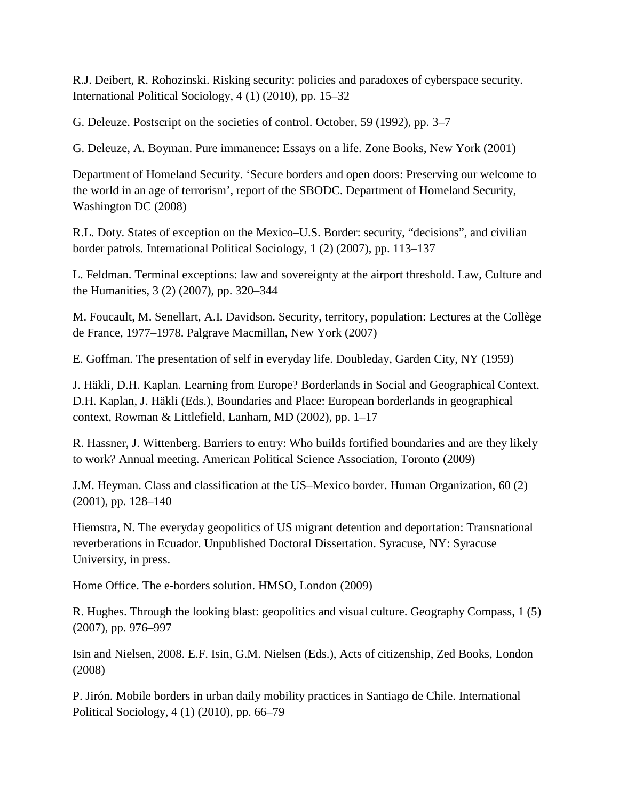R.J. Deibert, R. Rohozinski. Risking security: policies and paradoxes of cyberspace security. International Political Sociology, 4 (1) (2010), pp. 15–32

G. Deleuze. Postscript on the societies of control. October, 59 (1992), pp. 3–7

G. Deleuze, A. Boyman. Pure immanence: Essays on a life. Zone Books, New York (2001)

Department of Homeland Security. 'Secure borders and open doors: Preserving our welcome to the world in an age of terrorism', report of the SBODC. Department of Homeland Security, Washington DC (2008)

R.L. Doty. States of exception on the Mexico–U.S. Border: security, "decisions", and civilian border patrols. International Political Sociology, 1 (2) (2007), pp. 113–137

L. Feldman. Terminal exceptions: law and sovereignty at the airport threshold. Law, Culture and the Humanities, 3 (2) (2007), pp. 320–344

M. Foucault, M. Senellart, A.I. Davidson. Security, territory, population: Lectures at the Collège de France, 1977–1978. Palgrave Macmillan, New York (2007)

E. Goffman. The presentation of self in everyday life. Doubleday, Garden City, NY (1959)

J. Häkli, D.H. Kaplan. Learning from Europe? Borderlands in Social and Geographical Context. D.H. Kaplan, J. Häkli (Eds.), Boundaries and Place: European borderlands in geographical context, Rowman & Littlefield, Lanham, MD (2002), pp. 1–17

R. Hassner, J. Wittenberg. Barriers to entry: Who builds fortified boundaries and are they likely to work? Annual meeting. American Political Science Association, Toronto (2009)

J.M. Heyman. Class and classification at the US–Mexico border. Human Organization, 60 (2) (2001), pp. 128–140

Hiemstra, N. The everyday geopolitics of US migrant detention and deportation: Transnational reverberations in Ecuador. Unpublished Doctoral Dissertation. Syracuse, NY: Syracuse University, in press.

Home Office. The e-borders solution. HMSO, London (2009)

R. Hughes. Through the looking blast: geopolitics and visual culture. Geography Compass, 1 (5) (2007), pp. 976–997

Isin and Nielsen, 2008. E.F. Isin, G.M. Nielsen (Eds.), Acts of citizenship, Zed Books, London (2008)

P. Jirón. Mobile borders in urban daily mobility practices in Santiago de Chile. International Political Sociology, 4 (1) (2010), pp. 66–79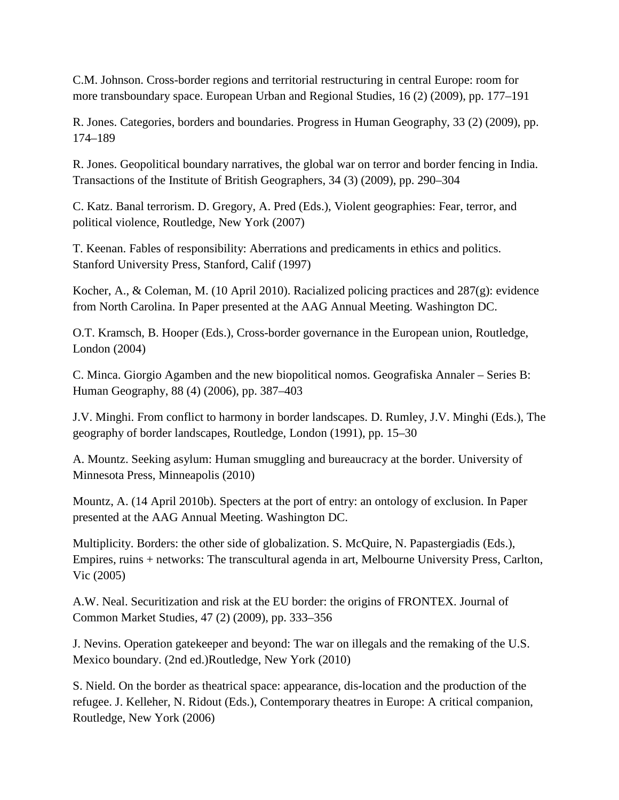C.M. Johnson. Cross-border regions and territorial restructuring in central Europe: room for more transboundary space. European Urban and Regional Studies, 16 (2) (2009), pp. 177–191

R. Jones. Categories, borders and boundaries. Progress in Human Geography, 33 (2) (2009), pp. 174–189

R. Jones. Geopolitical boundary narratives, the global war on terror and border fencing in India. Transactions of the Institute of British Geographers, 34 (3) (2009), pp. 290–304

C. Katz. Banal terrorism. D. Gregory, A. Pred (Eds.), Violent geographies: Fear, terror, and political violence, Routledge, New York (2007)

T. Keenan. Fables of responsibility: Aberrations and predicaments in ethics and politics. Stanford University Press, Stanford, Calif (1997)

Kocher, A., & Coleman, M. (10 April 2010). Racialized policing practices and 287(g): evidence from North Carolina. In Paper presented at the AAG Annual Meeting. Washington DC.

O.T. Kramsch, B. Hooper (Eds.), Cross-border governance in the European union, Routledge, London (2004)

C. Minca. Giorgio Agamben and the new biopolitical nomos. Geografiska Annaler – Series B: Human Geography, 88 (4) (2006), pp. 387–403

J.V. Minghi. From conflict to harmony in border landscapes. D. Rumley, J.V. Minghi (Eds.), The geography of border landscapes, Routledge, London (1991), pp. 15–30

A. Mountz. Seeking asylum: Human smuggling and bureaucracy at the border. University of Minnesota Press, Minneapolis (2010)

Mountz, A. (14 April 2010b). Specters at the port of entry: an ontology of exclusion. In Paper presented at the AAG Annual Meeting. Washington DC.

Multiplicity. Borders: the other side of globalization. S. McQuire, N. Papastergiadis (Eds.), Empires, ruins + networks: The transcultural agenda in art, Melbourne University Press, Carlton, Vic (2005)

A.W. Neal. Securitization and risk at the EU border: the origins of FRONTEX. Journal of Common Market Studies, 47 (2) (2009), pp. 333–356

J. Nevins. Operation gatekeeper and beyond: The war on illegals and the remaking of the U.S. Mexico boundary. (2nd ed.)Routledge, New York (2010)

S. Nield. On the border as theatrical space: appearance, dis-location and the production of the refugee. J. Kelleher, N. Ridout (Eds.), Contemporary theatres in Europe: A critical companion, Routledge, New York (2006)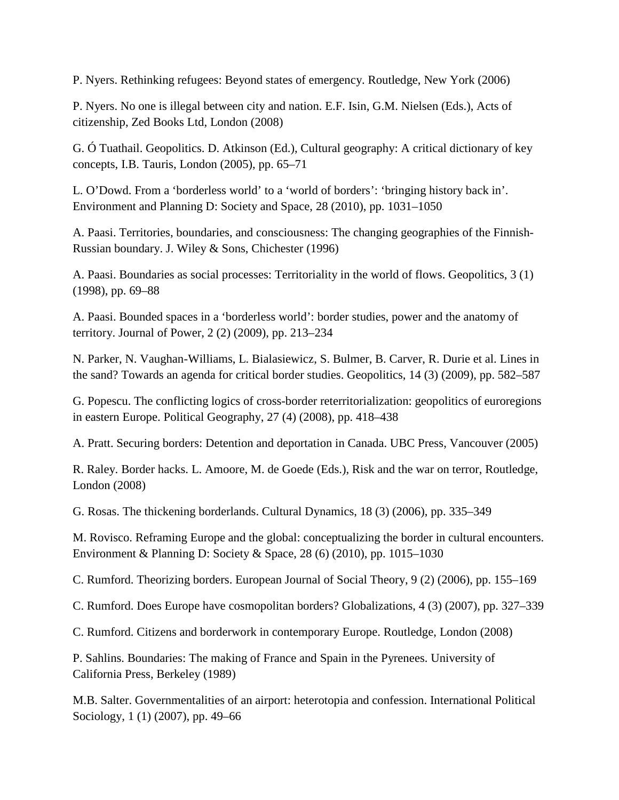P. Nyers. Rethinking refugees: Beyond states of emergency. Routledge, New York (2006)

P. Nyers. No one is illegal between city and nation. E.F. Isin, G.M. Nielsen (Eds.), Acts of citizenship, Zed Books Ltd, London (2008)

G. Ó Tuathail. Geopolitics. D. Atkinson (Ed.), Cultural geography: A critical dictionary of key concepts, I.B. Tauris, London (2005), pp. 65–71

L. O'Dowd. From a 'borderless world' to a 'world of borders': 'bringing history back in'. Environment and Planning D: Society and Space, 28 (2010), pp. 1031–1050

A. Paasi. Territories, boundaries, and consciousness: The changing geographies of the Finnish-Russian boundary. J. Wiley & Sons, Chichester (1996)

A. Paasi. Boundaries as social processes: Territoriality in the world of flows. Geopolitics, 3 (1) (1998), pp. 69–88

A. Paasi. Bounded spaces in a 'borderless world': border studies, power and the anatomy of territory. Journal of Power, 2 (2) (2009), pp. 213–234

N. Parker, N. Vaughan-Williams, L. Bialasiewicz, S. Bulmer, B. Carver, R. Durie et al. Lines in the sand? Towards an agenda for critical border studies. Geopolitics, 14 (3) (2009), pp. 582–587

G. Popescu. The conflicting logics of cross-border reterritorialization: geopolitics of euroregions in eastern Europe. Political Geography, 27 (4) (2008), pp. 418–438

A. Pratt. Securing borders: Detention and deportation in Canada. UBC Press, Vancouver (2005)

R. Raley. Border hacks. L. Amoore, M. de Goede (Eds.), Risk and the war on terror, Routledge, London (2008)

G. Rosas. The thickening borderlands. Cultural Dynamics, 18 (3) (2006), pp. 335–349

M. Rovisco. Reframing Europe and the global: conceptualizing the border in cultural encounters. Environment & Planning D: Society & Space, 28 (6) (2010), pp. 1015–1030

C. Rumford. Theorizing borders. European Journal of Social Theory, 9 (2) (2006), pp. 155–169

C. Rumford. Does Europe have cosmopolitan borders? Globalizations, 4 (3) (2007), pp. 327–339

C. Rumford. Citizens and borderwork in contemporary Europe. Routledge, London (2008)

P. Sahlins. Boundaries: The making of France and Spain in the Pyrenees. University of California Press, Berkeley (1989)

M.B. Salter. Governmentalities of an airport: heterotopia and confession. International Political Sociology, 1 (1) (2007), pp. 49–66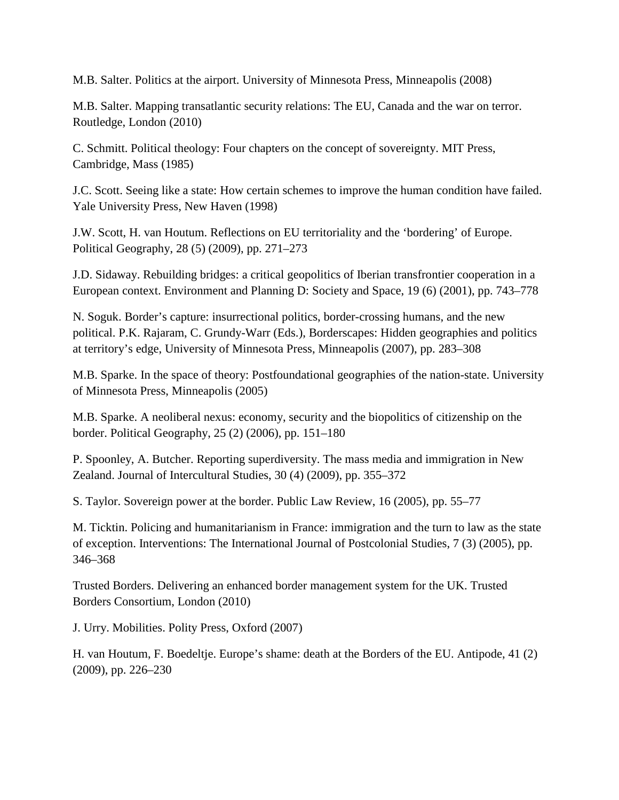M.B. Salter. Politics at the airport. University of Minnesota Press, Minneapolis (2008)

M.B. Salter. Mapping transatlantic security relations: The EU, Canada and the war on terror. Routledge, London (2010)

C. Schmitt. Political theology: Four chapters on the concept of sovereignty. MIT Press, Cambridge, Mass (1985)

J.C. Scott. Seeing like a state: How certain schemes to improve the human condition have failed. Yale University Press, New Haven (1998)

J.W. Scott, H. van Houtum. Reflections on EU territoriality and the 'bordering' of Europe. Political Geography, 28 (5) (2009), pp. 271–273

J.D. Sidaway. Rebuilding bridges: a critical geopolitics of Iberian transfrontier cooperation in a European context. Environment and Planning D: Society and Space, 19 (6) (2001), pp. 743–778

N. Soguk. Border's capture: insurrectional politics, border-crossing humans, and the new political. P.K. Rajaram, C. Grundy-Warr (Eds.), Borderscapes: Hidden geographies and politics at territory's edge, University of Minnesota Press, Minneapolis (2007), pp. 283–308

M.B. Sparke. In the space of theory: Postfoundational geographies of the nation-state. University of Minnesota Press, Minneapolis (2005)

M.B. Sparke. A neoliberal nexus: economy, security and the biopolitics of citizenship on the border. Political Geography, 25 (2) (2006), pp. 151–180

P. Spoonley, A. Butcher. Reporting superdiversity. The mass media and immigration in New Zealand. Journal of Intercultural Studies, 30 (4) (2009), pp. 355–372

S. Taylor. Sovereign power at the border. Public Law Review, 16 (2005), pp. 55–77

M. Ticktin. Policing and humanitarianism in France: immigration and the turn to law as the state of exception. Interventions: The International Journal of Postcolonial Studies, 7 (3) (2005), pp. 346–368

Trusted Borders. Delivering an enhanced border management system for the UK. Trusted Borders Consortium, London (2010)

J. Urry. Mobilities. Polity Press, Oxford (2007)

H. van Houtum, F. Boedeltje. Europe's shame: death at the Borders of the EU. Antipode, 41 (2) (2009), pp. 226–230